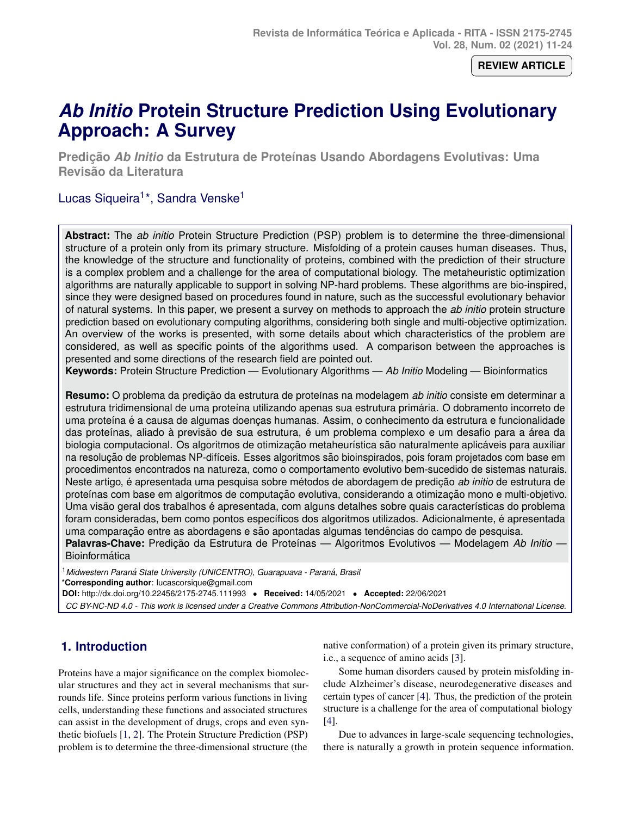**REVIEW ARTICLE**

# <span id="page-0-0"></span>*Ab Initio* **Protein Structure Prediction Using Evolutionary Approach: A Survey**

**Predição Ab Initio da Estrutura de Proteínas Usando Abordagens Evolutivas: Uma Revisão da Literatura** 

# Lucas Siqueira<sup>1\*</sup>, Sandra Venske<sup>1</sup>

**Abstract:** The *ab initio* Protein Structure Prediction (PSP) problem is to determine the three-dimensional structure of a protein only from its primary structure. Misfolding of a protein causes human diseases. Thus, the knowledge of the structure and functionality of proteins, combined with the prediction of their structure is a complex problem and a challenge for the area of computational biology. The metaheuristic optimization algorithms are naturally applicable to support in solving NP-hard problems. These algorithms are bio-inspired, since they were designed based on procedures found in nature, such as the successful evolutionary behavior of natural systems. In this paper, we present a survey on methods to approach the *ab initio* protein structure prediction based on evolutionary computing algorithms, considering both single and multi-objective optimization. An overview of the works is presented, with some details about which characteristics of the problem are considered, as well as specific points of the algorithms used. A comparison between the approaches is presented and some directions of the research field are pointed out.

**Keywords:** Protein Structure Prediction — Evolutionary Algorithms — *Ab Initio* Modeling — Bioinformatics

**Resumo:** O problema da predição da estrutura de proteínas na modelagem *ab initio* consiste em determinar a estrutura tridimensional de uma proteína utilizando apenas sua estrutura primária. O dobramento incorreto de uma proteína é a causa de algumas doenças humanas. Assim, o conhecimento da estrutura e funcionalidade das proteínas, aliado à previsão de sua estrutura, é um problema complexo e um desafio para a área da biologia computacional. Os algoritmos de otimização metaheurística são naturalmente aplicáveis para auxiliar na resolução de problemas NP-difíceis. Esses algoritmos são bioinspirados, pois foram projetados com base em procedimentos encontrados na natureza, como o comportamento evolutivo bem-sucedido de sistemas naturais. Neste artigo, é apresentada uma pesquisa sobre métodos de abordagem de predição *ab initio* de estrutura de proteínas com base em algoritmos de computação evolutiva, considerando a otimização mono e multi-objetivo. Uma visão geral dos trabalhos é apresentada, com alguns detalhes sobre quais características do problema foram consideradas, bem como pontos específicos dos algoritmos utilizados. Adicionalmente, é apresentada uma comparação entre as abordagens e são apontadas algumas tendências do campo de pesquisa. **Palavras-Chave:** Predição da Estrutura de Proteínas — Algoritmos Evolutivos — Modelagem Ab Initio -**Bioinformática** 

<sup>1</sup> Midwestern Paraná State University (UNICENTRO), Guarapuava - Paraná, Brasil \***Corresponding author**: lucascorsique@gmail.com

**DOI:** http://dx.doi.org/10.22456/2175-2745.111993 • **Received:** 14/05/2021 • **Accepted:** 22/06/2021

*CC BY-NC-ND 4.0 - This work is licensed under a Creative Commons Attribution-NonCommercial-NoDerivatives 4.0 International License.*

# **1. Introduction**

Proteins have a major significance on the complex biomolecular structures and they act in several mechanisms that surrounds life. Since proteins perform various functions in living cells, understanding these functions and associated structures can assist in the development of drugs, crops and even synthetic biofuels [\[1,](#page-10-0) [2\]](#page-10-1). The Protein Structure Prediction (PSP) problem is to determine the three-dimensional structure (the native conformation) of a protein given its primary structure, i.e., a sequence of amino acids [\[3\]](#page-10-2).

Some human disorders caused by protein misfolding include Alzheimer's disease, neurodegenerative diseases and certain types of cancer [\[4\]](#page-10-3). Thus, the prediction of the protein structure is a challenge for the area of computational biology [\[4\]](#page-10-3).

Due to advances in large-scale sequencing technologies, there is naturally a growth in protein sequence information.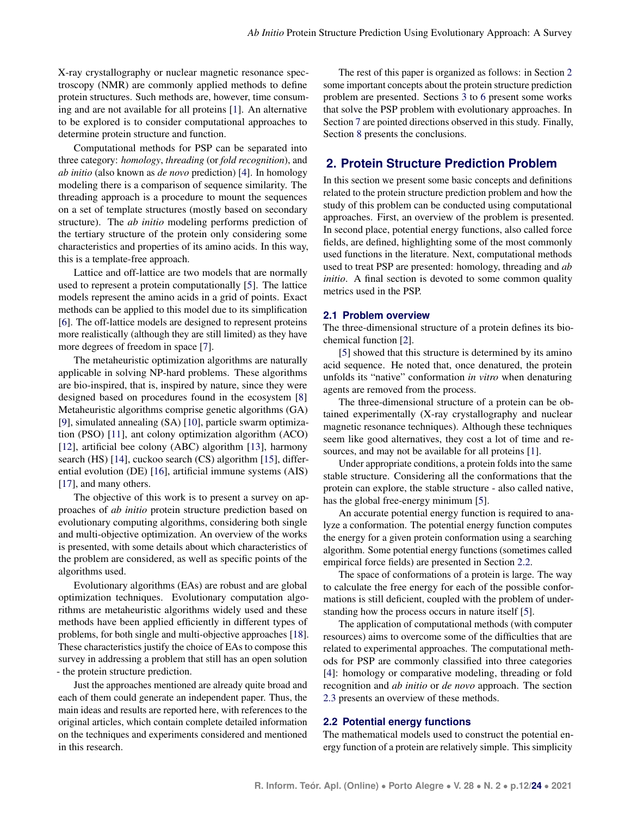X-ray crystallography or nuclear magnetic resonance spectroscopy (NMR) are commonly applied methods to define protein structures. Such methods are, however, time consuming and are not available for all proteins [\[1\]](#page-10-0). An alternative to be explored is to consider computational approaches to determine protein structure and function.

Computational methods for PSP can be separated into three category: *homology*, *threading* (or *fold recognition*), and *ab initio* (also known as *de novo* prediction) [\[4\]](#page-10-3). In homology modeling there is a comparison of sequence similarity. The threading approach is a procedure to mount the sequences on a set of template structures (mostly based on secondary structure). The *ab initio* modeling performs prediction of the tertiary structure of the protein only considering some characteristics and properties of its amino acids. In this way, this is a template-free approach.

Lattice and off-lattice are two models that are normally used to represent a protein computationally [\[5\]](#page-10-4). The lattice models represent the amino acids in a grid of points. Exact methods can be applied to this model due to its simplification [\[6\]](#page-10-5). The off-lattice models are designed to represent proteins more realistically (although they are still limited) as they have more degrees of freedom in space [\[7\]](#page-10-6).

The metaheuristic optimization algorithms are naturally applicable in solving NP-hard problems. These algorithms are bio-inspired, that is, inspired by nature, since they were designed based on procedures found in the ecosystem [\[8\]](#page-10-7) Metaheuristic algorithms comprise genetic algorithms (GA) [\[9\]](#page-10-8), simulated annealing (SA) [\[10\]](#page-10-9), particle swarm optimization (PSO) [\[11\]](#page-10-10), ant colony optimization algorithm (ACO) [\[12\]](#page-11-0), artificial bee colony (ABC) algorithm [\[13\]](#page-11-1), harmony search (HS) [\[14\]](#page-11-2), cuckoo search (CS) algorithm [\[15\]](#page-11-3), differential evolution (DE) [\[16\]](#page-11-4), artificial immune systems (AIS) [\[17\]](#page-11-5), and many others.

The objective of this work is to present a survey on approaches of *ab initio* protein structure prediction based on evolutionary computing algorithms, considering both single and multi-objective optimization. An overview of the works is presented, with some details about which characteristics of the problem are considered, as well as specific points of the algorithms used.

Evolutionary algorithms (EAs) are robust and are global optimization techniques. Evolutionary computation algorithms are metaheuristic algorithms widely used and these methods have been applied efficiently in different types of problems, for both single and multi-objective approaches [\[18\]](#page-11-6). These characteristics justify the choice of EAs to compose this survey in addressing a problem that still has an open solution - the protein structure prediction.

Just the approaches mentioned are already quite broad and each of them could generate an independent paper. Thus, the main ideas and results are reported here, with references to the original articles, which contain complete detailed information on the techniques and experiments considered and mentioned in this research.

The rest of this paper is organized as follows: in Section [2](#page-1-0) some important concepts about the protein structure prediction problem are presented. Sections [3](#page-3-0) to [6](#page-6-0) present some works that solve the PSP problem with evolutionary approaches. In Section [7](#page-8-0) are pointed directions observed in this study. Finally, Section [8](#page-9-0) presents the conclusions.

### <span id="page-1-0"></span>**2. Protein Structure Prediction Problem**

In this section we present some basic concepts and definitions related to the protein structure prediction problem and how the study of this problem can be conducted using computational approaches. First, an overview of the problem is presented. In second place, potential energy functions, also called force fields, are defined, highlighting some of the most commonly used functions in the literature. Next, computational methods used to treat PSP are presented: homology, threading and *ab initio*. A final section is devoted to some common quality metrics used in the PSP.

#### **2.1 Problem overview**

The three-dimensional structure of a protein defines its biochemical function [\[2\]](#page-10-1).

[\[5\]](#page-10-4) showed that this structure is determined by its amino acid sequence. He noted that, once denatured, the protein unfolds its "native" conformation *in vitro* when denaturing agents are removed from the process.

The three-dimensional structure of a protein can be obtained experimentally (X-ray crystallography and nuclear magnetic resonance techniques). Although these techniques seem like good alternatives, they cost a lot of time and resources, and may not be available for all proteins [\[1\]](#page-10-0).

Under appropriate conditions, a protein folds into the same stable structure. Considering all the conformations that the protein can explore, the stable structure - also called native, has the global free-energy minimum [\[5\]](#page-10-4).

An accurate potential energy function is required to analyze a conformation. The potential energy function computes the energy for a given protein conformation using a searching algorithm. Some potential energy functions (sometimes called empirical force fields) are presented in Section [2.2.](#page-1-1)

The space of conformations of a protein is large. The way to calculate the free energy for each of the possible conformations is still deficient, coupled with the problem of understanding how the process occurs in nature itself [\[5\]](#page-10-4).

The application of computational methods (with computer resources) aims to overcome some of the difficulties that are related to experimental approaches. The computational methods for PSP are commonly classified into three categories [\[4\]](#page-10-3): homology or comparative modeling, threading or fold recognition and *ab initio* or *de novo* approach. The section [2.3](#page-2-0) presents an overview of these methods.

#### <span id="page-1-1"></span>**2.2 Potential energy functions**

The mathematical models used to construct the potential energy function of a protein are relatively simple. This simplicity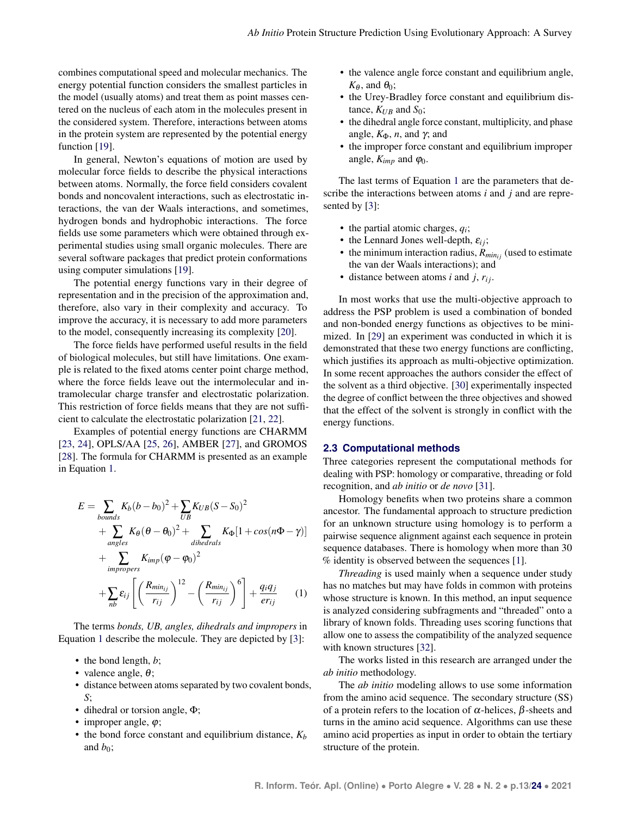combines computational speed and molecular mechanics. The energy potential function considers the smallest particles in the model (usually atoms) and treat them as point masses centered on the nucleus of each atom in the molecules present in the considered system. Therefore, interactions between atoms in the protein system are represented by the potential energy function [\[19\]](#page-11-7).

In general, Newton's equations of motion are used by molecular force fields to describe the physical interactions between atoms. Normally, the force field considers covalent bonds and noncovalent interactions, such as electrostatic interactions, the van der Waals interactions, and sometimes, hydrogen bonds and hydrophobic interactions. The force fields use some parameters which were obtained through experimental studies using small organic molecules. There are several software packages that predict protein conformations using computer simulations [\[19\]](#page-11-7).

The potential energy functions vary in their degree of representation and in the precision of the approximation and, therefore, also vary in their complexity and accuracy. To improve the accuracy, it is necessary to add more parameters to the model, consequently increasing its complexity [\[20\]](#page-11-8).

The force fields have performed useful results in the field of biological molecules, but still have limitations. One example is related to the fixed atoms center point charge method, where the force fields leave out the intermolecular and intramolecular charge transfer and electrostatic polarization. This restriction of force fields means that they are not sufficient to calculate the electrostatic polarization [\[21,](#page-11-9) [22\]](#page-11-10).

Examples of potential energy functions are CHARMM [\[23,](#page-11-11) [24\]](#page-11-12), OPLS/AA [\[25,](#page-11-13) [26\]](#page-11-14), AMBER [\[27\]](#page-11-15), and GROMOS [\[28\]](#page-11-16). The formula for CHARMM is presented as an example in Equation [1.](#page-2-1)

<span id="page-2-1"></span>
$$
E = \sum_{bounds} K_b (b - b_0)^2 + \sum_{UB} K_{UB} (S - S_0)^2
$$
  
+ 
$$
\sum_{angles} K_{\theta} (\theta - \theta_0)^2 + \sum_{dihedrals} K_{\Phi} [1 + cos(n\Phi - \gamma)]
$$
  
+ 
$$
\sum_{impropers} K_{imp} (\varphi - \varphi_0)^2
$$
  
+ 
$$
\sum_{nb} \varepsilon_{ij} \left[ \left( \frac{R_{min_{ij}}}{r_{ij}} \right)^{12} - \left( \frac{R_{min_{ij}}}{r_{ij}} \right)^{6} \right] + \frac{q_i q_j}{e r_{ij}} \qquad (1)
$$

The terms *bonds, UB, angles, dihedrals and impropers* in Equation [1](#page-2-1) describe the molecule. They are depicted by [\[3\]](#page-10-2):

- the bond length, *b*;
- valence angle,  $\theta$ ;
- distance between atoms separated by two covalent bonds, *S*;
- dihedral or torsion angle, Φ;
- improper angle,  $\varphi$ ;
- the bond force constant and equilibrium distance,  $K_b$ and  $b_0$ ;
- the valence angle force constant and equilibrium angle,  $K_{\theta}$ , and  $\theta_0$ ;
- the Urey-Bradley force constant and equilibrium distance,  $K_{UB}$  and  $S_0$ ;
- the dihedral angle force constant, multiplicity, and phase angle,  $K_{\Phi}$ , *n*, and  $\gamma$ ; and
- the improper force constant and equilibrium improper angle,  $K_{imp}$  and  $\varphi_0$ .

The last terms of Equation [1](#page-2-1) are the parameters that describe the interactions between atoms *i* and *j* and are represented by [\[3\]](#page-10-2):

- the partial atomic charges, *q<sup>i</sup>* ;
- the Lennard Jones well-depth,  $\varepsilon_{ij}$ ;
- the minimum interaction radius,  $R_{min_{ij}}$  (used to estimate the van der Waals interactions); and
- distance between atoms  $i$  and  $j$ ,  $r_{ij}$ .

In most works that use the multi-objective approach to address the PSP problem is used a combination of bonded and non-bonded energy functions as objectives to be minimized. In [\[29\]](#page-11-17) an experiment was conducted in which it is demonstrated that these two energy functions are conflicting, which justifies its approach as multi-objective optimization. In some recent approaches the authors consider the effect of the solvent as a third objective. [\[30\]](#page-11-18) experimentally inspected the degree of conflict between the three objectives and showed that the effect of the solvent is strongly in conflict with the energy functions.

#### <span id="page-2-0"></span>**2.3 Computational methods**

Three categories represent the computational methods for dealing with PSP: homology or comparative, threading or fold recognition, and *ab initio* or *de novo* [\[31\]](#page-11-19).

Homology benefits when two proteins share a common ancestor. The fundamental approach to structure prediction for an unknown structure using homology is to perform a pairwise sequence alignment against each sequence in protein sequence databases. There is homology when more than 30 % identity is observed between the sequences [\[1\]](#page-10-0).

*Threading* is used mainly when a sequence under study has no matches but may have folds in common with proteins whose structure is known. In this method, an input sequence is analyzed considering subfragments and "threaded" onto a library of known folds. Threading uses scoring functions that allow one to assess the compatibility of the analyzed sequence with known structures [\[32\]](#page-11-20).

The works listed in this research are arranged under the *ab initio* methodology.

The *ab initio* modeling allows to use some information from the amino acid sequence. The secondary structure (SS) of a protein refers to the location of  $\alpha$ -helices,  $\beta$ -sheets and turns in the amino acid sequence. Algorithms can use these amino acid properties as input in order to obtain the tertiary structure of the protein.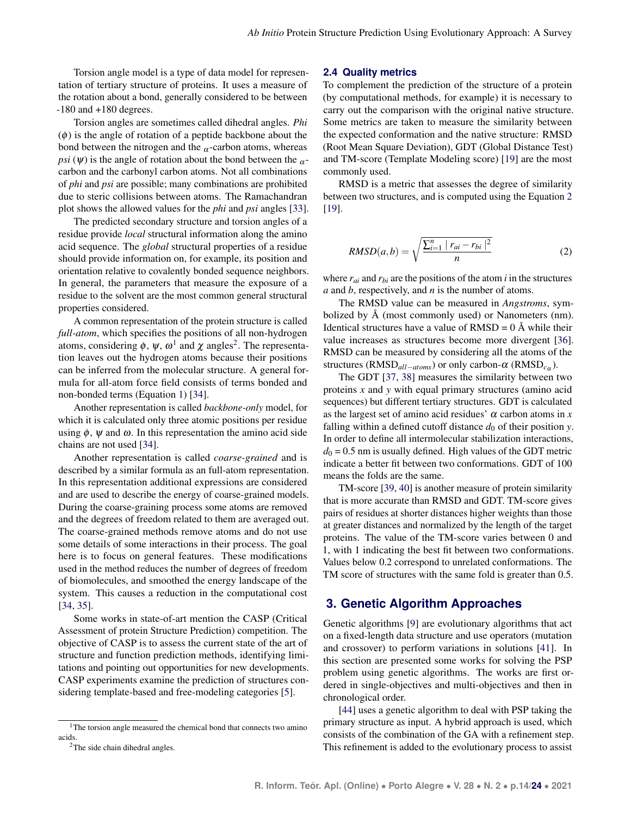Torsion angle model is a type of data model for representation of tertiary structure of proteins. It uses a measure of the rotation about a bond, generally considered to be between  $-180$  and  $+180$  degrees.

Torsion angles are sometimes called dihedral angles. *Phi*  $(\phi)$  is the angle of rotation of a peptide backbone about the bond between the nitrogen and the  $\alpha$ -carbon atoms, whereas *psi* ( $\psi$ ) is the angle of rotation about the bond between the  $\alpha$ carbon and the carbonyl carbon atoms. Not all combinations of *phi* and *psi* are possible; many combinations are prohibited due to steric collisions between atoms. The Ramachandran plot shows the allowed values for the *phi* and *psi* angles [\[33\]](#page-11-21).

The predicted secondary structure and torsion angles of a residue provide *local* structural information along the amino acid sequence. The *global* structural properties of a residue should provide information on, for example, its position and orientation relative to covalently bonded sequence neighbors. In general, the parameters that measure the exposure of a residue to the solvent are the most common general structural properties considered.

A common representation of the protein structure is called *full-atom*, which specifies the positions of all non-hydrogen atoms, considering  $\phi$ ,  $\psi$ ,  $\omega^1$  $\omega^1$  and  $\chi$  angles<sup>[2](#page-0-0)</sup>. The representation leaves out the hydrogen atoms because their positions can be inferred from the molecular structure. A general formula for all-atom force field consists of terms bonded and non-bonded terms (Equation [1\)](#page-2-1) [\[34\]](#page-11-22).

Another representation is called *backbone-only* model, for which it is calculated only three atomic positions per residue using  $\phi$ ,  $\psi$  and  $\omega$ . In this representation the amino acid side chains are not used [\[34\]](#page-11-22).

Another representation is called *coarse-grained* and is described by a similar formula as an full-atom representation. In this representation additional expressions are considered and are used to describe the energy of coarse-grained models. During the coarse-graining process some atoms are removed and the degrees of freedom related to them are averaged out. The coarse-grained methods remove atoms and do not use some details of some interactions in their process. The goal here is to focus on general features. These modifications used in the method reduces the number of degrees of freedom of biomolecules, and smoothed the energy landscape of the system. This causes a reduction in the computational cost [\[34,](#page-11-22) [35\]](#page-11-23).

Some works in state-of-art mention the CASP (Critical Assessment of protein Structure Prediction) competition. The objective of CASP is to assess the current state of the art of structure and function prediction methods, identifying limitations and pointing out opportunities for new developments. CASP experiments examine the prediction of structures considering template-based and free-modeling categories [\[5\]](#page-10-4).

#### **2.4 Quality metrics**

To complement the prediction of the structure of a protein (by computational methods, for example) it is necessary to carry out the comparison with the original native structure. Some metrics are taken to measure the similarity between the expected conformation and the native structure: RMSD (Root Mean Square Deviation), GDT (Global Distance Test) and TM-score (Template Modeling score) [\[19\]](#page-11-7) are the most commonly used.

RMSD is a metric that assesses the degree of similarity between two structures, and is computed using the Equation [2](#page-3-1) [\[19\]](#page-11-7).

<span id="page-3-1"></span>
$$
RMSD(a,b) = \sqrt{\frac{\sum_{i=1}^{n} |r_{ai} - r_{bi}|^2}{n}}
$$
 (2)

where  $r_{ai}$  and  $r_{bi}$  are the positions of the atom *i* in the structures *a* and *b*, respectively, and *n* is the number of atoms.

The RMSD value can be measured in *Angstroms*, symbolized by  $\AA$  (most commonly used) or Nanometers (nm). Identical structures have a value of  $RMSD = 0$  Å while their value increases as structures become more divergent [\[36\]](#page-11-24). RMSD can be measured by considering all the atoms of the structures ( $\text{RMSD}_{all-atoms}$ ) or only carbon- $\alpha$  ( $\text{RMSD}_{c\alpha}$ ).

The GDT [\[37,](#page-11-25) [38\]](#page-11-26) measures the similarity between two proteins *x* and *y* with equal primary structures (amino acid sequences) but different tertiary structures. GDT is calculated as the largest set of amino acid residues'  $\alpha$  carbon atoms in  $x$ falling within a defined cutoff distance  $d_0$  of their position  $y$ . In order to define all intermolecular stabilization interactions,  $d_0$  = 0.5 nm is usually defined. High values of the GDT metric indicate a better fit between two conformations. GDT of 100 means the folds are the same.

TM-score [\[39,](#page-11-27) [40\]](#page-12-0) is another measure of protein similarity that is more accurate than RMSD and GDT. TM-score gives pairs of residues at shorter distances higher weights than those at greater distances and normalized by the length of the target proteins. The value of the TM-score varies between 0 and 1, with 1 indicating the best fit between two conformations. Values below 0.2 correspond to unrelated conformations. The TM score of structures with the same fold is greater than 0.5.

#### <span id="page-3-0"></span>**3. Genetic Algorithm Approaches**

Genetic algorithms [\[9\]](#page-10-8) are evolutionary algorithms that act on a fixed-length data structure and use operators (mutation and crossover) to perform variations in solutions [\[41\]](#page-12-1). In this section are presented some works for solving the PSP problem using genetic algorithms. The works are first ordered in single-objectives and multi-objectives and then in chronological order.

[\[44\]](#page-12-2) uses a genetic algorithm to deal with PSP taking the primary structure as input. A hybrid approach is used, which consists of the combination of the GA with a refinement step. This refinement is added to the evolutionary process to assist

<sup>&</sup>lt;sup>1</sup>The torsion angle measured the chemical bond that connects two amino acids.

<sup>&</sup>lt;sup>2</sup>The side chain dihedral angles.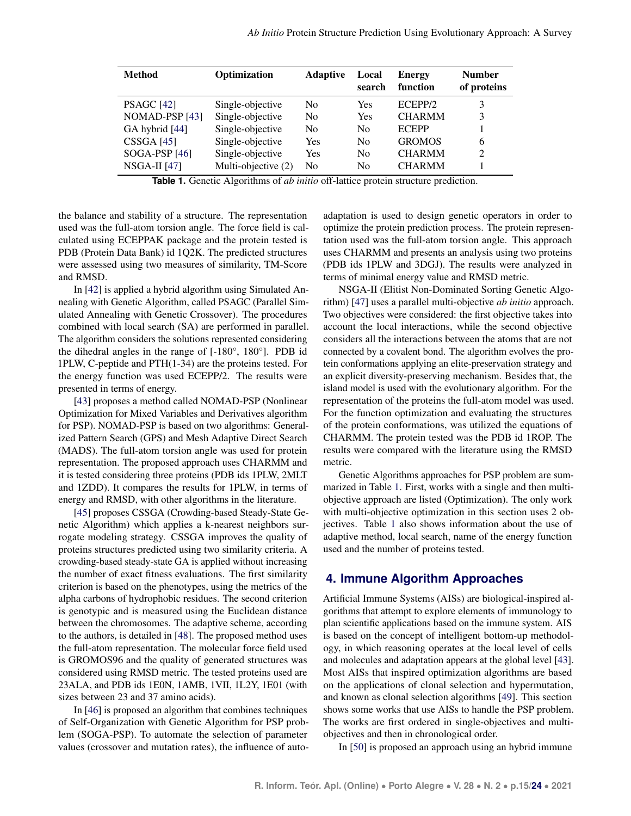<span id="page-4-0"></span>

| <b>Method</b>     | Optimization        | <b>Adaptive</b> | Local<br>search | <b>Energy</b><br>function | <b>Number</b><br>of proteins |
|-------------------|---------------------|-----------------|-----------------|---------------------------|------------------------------|
| <b>PSAGC</b> [42] | Single-objective    | No              | Yes             | ECEPP/2                   | 3                            |
| NOMAD-PSP [43]    | Single-objective    | N <sub>0</sub>  | Yes             | <b>CHARMM</b>             | 3                            |
| GA hybrid [44]    | Single-objective    | N <sub>0</sub>  | N <sub>0</sub>  | <b>ECEPP</b>              |                              |
| CSSGA[45]         | Single-objective    | Yes             | N <sub>0</sub>  | <b>GROMOS</b>             | 6                            |
| SOGA-PSP [46]     | Single-objective    | Yes             | N <sub>0</sub>  | <b>CHARMM</b>             | 2                            |
| $NSGA-II$ [47]    | Multi-objective (2) | N <sub>0</sub>  | N <sub>0</sub>  | <b>CHARMM</b>             |                              |

**Table 1.** Genetic Algorithms of *ab initio* off-lattice protein structure prediction.

the balance and stability of a structure. The representation used was the full-atom torsion angle. The force field is calculated using ECEPPAK package and the protein tested is PDB (Protein Data Bank) id 1Q2K. The predicted structures were assessed using two measures of similarity, TM-Score and RMSD.

In [\[42\]](#page-12-3) is applied a hybrid algorithm using Simulated Annealing with Genetic Algorithm, called PSAGC (Parallel Simulated Annealing with Genetic Crossover). The procedures combined with local search (SA) are performed in parallel. The algorithm considers the solutions represented considering the dihedral angles in the range of [-180°, 180°]. PDB id 1PLW, C-peptide and PTH(1-34) are the proteins tested. For the energy function was used ECEPP/2. The results were presented in terms of energy.

[\[43\]](#page-12-4) proposes a method called NOMAD-PSP (Nonlinear Optimization for Mixed Variables and Derivatives algorithm for PSP). NOMAD-PSP is based on two algorithms: Generalized Pattern Search (GPS) and Mesh Adaptive Direct Search (MADS). The full-atom torsion angle was used for protein representation. The proposed approach uses CHARMM and it is tested considering three proteins (PDB ids 1PLW, 2MLT and 1ZDD). It compares the results for 1PLW, in terms of energy and RMSD, with other algorithms in the literature.

[\[45\]](#page-12-5) proposes CSSGA (Crowding-based Steady-State Genetic Algorithm) which applies a k-nearest neighbors surrogate modeling strategy. CSSGA improves the quality of proteins structures predicted using two similarity criteria. A crowding-based steady-state GA is applied without increasing the number of exact fitness evaluations. The first similarity criterion is based on the phenotypes, using the metrics of the alpha carbons of hydrophobic residues. The second criterion is genotypic and is measured using the Euclidean distance between the chromosomes. The adaptive scheme, according to the authors, is detailed in [\[48\]](#page-12-8). The proposed method uses the full-atom representation. The molecular force field used is GROMOS96 and the quality of generated structures was considered using RMSD metric. The tested proteins used are 23ALA, and PDB ids 1E0N, 1AMB, 1VII, 1L2Y, 1E01 (with sizes between 23 and 37 amino acids).

In [\[46\]](#page-12-6) is proposed an algorithm that combines techniques of Self-Organization with Genetic Algorithm for PSP problem (SOGA-PSP). To automate the selection of parameter values (crossover and mutation rates), the influence of auto-

adaptation is used to design genetic operators in order to optimize the protein prediction process. The protein representation used was the full-atom torsion angle. This approach uses CHARMM and presents an analysis using two proteins (PDB ids 1PLW and 3DGJ). The results were analyzed in terms of minimal energy value and RMSD metric.

NSGA-II (Elitist Non-Dominated Sorting Genetic Algorithm) [\[47\]](#page-12-7) uses a parallel multi-objective *ab initio* approach. Two objectives were considered: the first objective takes into account the local interactions, while the second objective considers all the interactions between the atoms that are not connected by a covalent bond. The algorithm evolves the protein conformations applying an elite-preservation strategy and an explicit diversity-preserving mechanism. Besides that, the island model is used with the evolutionary algorithm. For the representation of the proteins the full-atom model was used. For the function optimization and evaluating the structures of the protein conformations, was utilized the equations of CHARMM. The protein tested was the PDB id 1ROP. The results were compared with the literature using the RMSD metric.

Genetic Algorithms approaches for PSP problem are summarized in Table [1.](#page-4-0) First, works with a single and then multiobjective approach are listed (Optimization). The only work with multi-objective optimization in this section uses 2 objectives. Table [1](#page-4-0) also shows information about the use of adaptive method, local search, name of the energy function used and the number of proteins tested.

#### **4. Immune Algorithm Approaches**

Artificial Immune Systems (AISs) are biological-inspired algorithms that attempt to explore elements of immunology to plan scientific applications based on the immune system. AIS is based on the concept of intelligent bottom-up methodology, in which reasoning operates at the local level of cells and molecules and adaptation appears at the global level [\[43\]](#page-12-4). Most AISs that inspired optimization algorithms are based on the applications of clonal selection and hypermutation, and known as clonal selection algorithms [\[49\]](#page-12-9). This section shows some works that use AISs to handle the PSP problem. The works are first ordered in single-objectives and multiobjectives and then in chronological order.

In [\[50\]](#page-12-10) is proposed an approach using an hybrid immune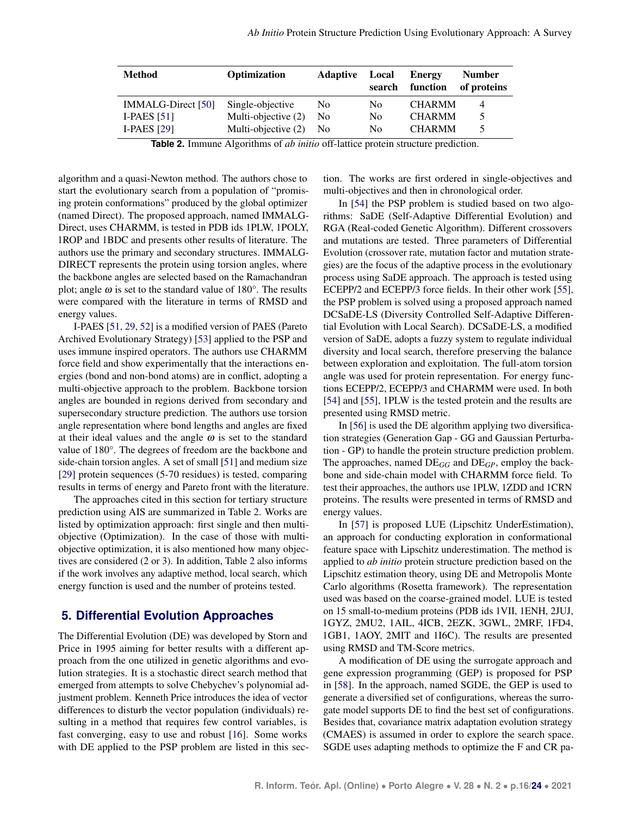<span id="page-5-0"></span>

| Method                    | Optimization        | <b>Adaptive</b> | Local<br>search | Energy<br>function | <b>Number</b><br>of proteins |
|---------------------------|---------------------|-----------------|-----------------|--------------------|------------------------------|
| <b>IMMALG-Direct</b> [50] | Single-objective    | N <sub>0</sub>  | No.             | <b>CHARMM</b>      | 4                            |
| I-PAES $[51]$             | Multi-objective (2) | N <sub>0</sub>  | No.             | <b>CHARMM</b>      |                              |
| I-PAES $[29]$             | Multi-objective (2) | No.             | No.             | <b>CHARMM</b>      |                              |

**Table 2.** Immune Algorithms of *ab initio* off-lattice protein structure prediction.

algorithm and a quasi-Newton method. The authors chose to start the evolutionary search from a population of "promising protein conformations" produced by the global optimizer (named Direct). The proposed approach, named IMMALG-Direct, uses CHARMM, is tested in PDB ids 1PLW, 1POLY, 1ROP and 1BDC and presents other results of literature. The authors use the primary and secondary structures. IMMALG-DIRECT represents the protein using torsion angles, where the backbone angles are selected based on the Ramachandran plot; angle  $\omega$  is set to the standard value of 180 $^{\circ}$ . The results were compared with the literature in terms of RMSD and energy values.

I-PAES [\[51,](#page-12-11) [29,](#page-11-17) [52\]](#page-12-12) is a modified version of PAES (Pareto Archived Evolutionary Strategy) [\[53\]](#page-12-13) applied to the PSP and uses immune inspired operators. The authors use CHARMM force field and show experimentally that the interactions energies (bond and non-bond atoms) are in conflict, adopting a multi-objective approach to the problem. Backbone torsion angles are bounded in regions derived from secondary and supersecondary structure prediction. The authors use torsion angle representation where bond lengths and angles are fixed at their ideal values and the angle  $\omega$  is set to the standard value of 180°. The degrees of freedom are the backbone and side-chain torsion angles. A set of small [\[51\]](#page-12-11) and medium size [\[29\]](#page-11-17) protein sequences (5-70 residues) is tested, comparing results in terms of energy and Pareto front with the literature.

The approaches cited in this section for tertiary structure prediction using AIS are summarized in Table [2.](#page-5-0) Works are listed by optimization approach: first single and then multiobjective (Optimization). In the case of those with multiobjective optimization, it is also mentioned how many objectives are considered (2 or 3). In addition, Table [2](#page-5-0) also informs if the work involves any adaptive method, local search, which energy function is used and the number of proteins tested.

#### **5. Differential Evolution Approaches**

The Differential Evolution (DE) was developed by Storn and Price in 1995 aiming for better results with a different approach from the one utilized in genetic algorithms and evolution strategies. It is a stochastic direct search method that emerged from attempts to solve Chebychev's polynomial adjustment problem. Kenneth Price introduces the idea of vector differences to disturb the vector population (individuals) resulting in a method that requires few control variables, is fast converging, easy to use and robust [\[16\]](#page-11-4). Some works with DE applied to the PSP problem are listed in this section. The works are first ordered in single-objectives and multi-objectives and then in chronological order.

In [\[54\]](#page-12-14) the PSP problem is studied based on two algorithms: SaDE (Self-Adaptive Differential Evolution) and RGA (Real-coded Genetic Algorithm). Different crossovers and mutations are tested. Three parameters of Differential Evolution (crossover rate, mutation factor and mutation strategies) are the focus of the adaptive process in the evolutionary process using SaDE approach. The approach is tested using ECEPP/2 and ECEPP/3 force fields. In their other work [\[55\]](#page-12-15), the PSP problem is solved using a proposed approach named DCSaDE-LS (Diversity Controlled Self-Adaptive Differential Evolution with Local Search). DCSaDE-LS, a modified version of SaDE, adopts a fuzzy system to regulate individual diversity and local search, therefore preserving the balance between exploration and exploitation. The full-atom torsion angle was used for protein representation. For energy functions ECEPP/2, ECEPP/3 and CHARMM were used. In both [\[54\]](#page-12-14) and [\[55\]](#page-12-15), 1PLW is the tested protein and the results are presented using RMSD metric.

In [\[56\]](#page-12-16) is used the DE algorithm applying two diversification strategies (Generation Gap - GG and Gaussian Perturbation - GP) to handle the protein structure prediction problem. The approaches, named DE*GG* and DE*GP*, employ the backbone and side-chain model with CHARMM force field. To test their approaches, the authors use 1PLW, 1ZDD and 1CRN proteins. The results were presented in terms of RMSD and energy values.

In [\[57\]](#page-12-17) is proposed LUE (Lipschitz UnderEstimation), an approach for conducting exploration in conformational feature space with Lipschitz underestimation. The method is applied to *ab initio* protein structure prediction based on the Lipschitz estimation theory, using DE and Metropolis Monte Carlo algorithms (Rosetta framework). The representation used was based on the coarse-grained model. LUE is tested on 15 small-to-medium proteins (PDB ids 1VII, 1ENH, 2JUJ, 1GYZ, 2MU2, 1AIL, 4ICB, 2EZK, 3GWL, 2MRF, 1FD4, 1GB1, 1AOY, 2MIT and 1I6C). The results are presented using RMSD and TM-Score metrics.

A modification of DE using the surrogate approach and gene expression programming (GEP) is proposed for PSP in [\[58\]](#page-12-18). In the approach, named SGDE, the GEP is used to generate a diversified set of configurations, whereas the surrogate model supports DE to find the best set of configurations. Besides that, covariance matrix adaptation evolution strategy (CMAES) is assumed in order to explore the search space. SGDE uses adapting methods to optimize the F and CR pa-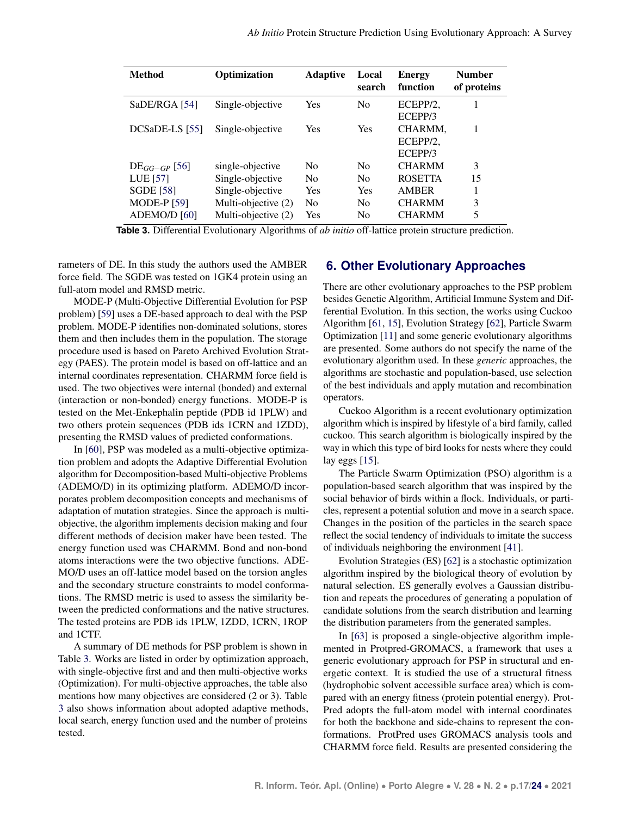<span id="page-6-1"></span>

| <b>Method</b>      | Optimization        | <b>Adaptive</b> | Local<br>search | <b>Energy</b><br>function | <b>Number</b><br>of proteins |
|--------------------|---------------------|-----------------|-----------------|---------------------------|------------------------------|
| SaDE/RGA [54]      | Single-objective    | Yes             | N <sub>0</sub>  | $ECEPP/2$ ,               |                              |
|                    |                     |                 |                 | ECEPP/3                   |                              |
| DCSaDE-LS [55]     | Single-objective    | Yes             | <b>Yes</b>      | CHARMM,                   | 1                            |
|                    |                     |                 |                 | ECEPP/2,                  |                              |
|                    |                     |                 |                 | ECEPP/3                   |                              |
| $DE_{GG-GP}$ [56]  | single-objective    | N <sub>0</sub>  | N <sub>0</sub>  | <b>CHARMM</b>             | 3                            |
| LUE [57]           | Single-objective    | N <sub>0</sub>  | N <sub>0</sub>  | <b>ROSETTA</b>            | 15                           |
| <b>SGDE</b> [58]   | Single-objective    | <b>Yes</b>      | <b>Yes</b>      | <b>AMBER</b>              |                              |
| <b>MODE-P</b> [59] | Multi-objective (2) | N <sub>0</sub>  | No              | <b>CHARMM</b>             | 3                            |
| ADEMO/D [60]       | Multi-objective (2) | Yes             | N <sub>0</sub>  | <b>CHARMM</b>             | 5                            |

**Table 3.** Differential Evolutionary Algorithms of *ab initio* off-lattice protein structure prediction.

rameters of DE. In this study the authors used the AMBER force field. The SGDE was tested on 1GK4 protein using an full-atom model and RMSD metric.

MODE-P (Multi-Objective Differential Evolution for PSP problem) [\[59\]](#page-12-19) uses a DE-based approach to deal with the PSP problem. MODE-P identifies non-dominated solutions, stores them and then includes them in the population. The storage procedure used is based on Pareto Archived Evolution Strategy (PAES). The protein model is based on off-lattice and an internal coordinates representation. CHARMM force field is used. The two objectives were internal (bonded) and external (interaction or non-bonded) energy functions. MODE-P is tested on the Met-Enkephalin peptide (PDB id 1PLW) and two others protein sequences (PDB ids 1CRN and 1ZDD), presenting the RMSD values of predicted conformations.

In [\[60\]](#page-12-20), PSP was modeled as a multi-objective optimization problem and adopts the Adaptive Differential Evolution algorithm for Decomposition-based Multi-objective Problems (ADEMO/D) in its optimizing platform. ADEMO/D incorporates problem decomposition concepts and mechanisms of adaptation of mutation strategies. Since the approach is multiobjective, the algorithm implements decision making and four different methods of decision maker have been tested. The energy function used was CHARMM. Bond and non-bond atoms interactions were the two objective functions. ADE-MO/D uses an off-lattice model based on the torsion angles and the secondary structure constraints to model conformations. The RMSD metric is used to assess the similarity between the predicted conformations and the native structures. The tested proteins are PDB ids 1PLW, 1ZDD, 1CRN, 1ROP and 1CTF.

<span id="page-6-0"></span>A summary of DE methods for PSP problem is shown in Table [3.](#page-6-1) Works are listed in order by optimization approach, with single-objective first and and then multi-objective works (Optimization). For multi-objective approaches, the table also mentions how many objectives are considered (2 or 3). Table [3](#page-6-1) also shows information about adopted adaptive methods, local search, energy function used and the number of proteins tested.

#### **6. Other Evolutionary Approaches**

There are other evolutionary approaches to the PSP problem besides Genetic Algorithm, Artificial Immune System and Differential Evolution. In this section, the works using Cuckoo Algorithm [\[61,](#page-12-21) [15\]](#page-11-3), Evolution Strategy [\[62\]](#page-13-1), Particle Swarm Optimization [\[11\]](#page-10-10) and some generic evolutionary algorithms are presented. Some authors do not specify the name of the evolutionary algorithm used. In these *generic* approaches, the algorithms are stochastic and population-based, use selection of the best individuals and apply mutation and recombination operators.

Cuckoo Algorithm is a recent evolutionary optimization algorithm which is inspired by lifestyle of a bird family, called cuckoo. This search algorithm is biologically inspired by the way in which this type of bird looks for nests where they could lay eggs [\[15\]](#page-11-3).

The Particle Swarm Optimization (PSO) algorithm is a population-based search algorithm that was inspired by the social behavior of birds within a flock. Individuals, or particles, represent a potential solution and move in a search space. Changes in the position of the particles in the search space reflect the social tendency of individuals to imitate the success of individuals neighboring the environment [\[41\]](#page-12-1).

Evolution Strategies (ES) [\[62\]](#page-13-1) is a stochastic optimization algorithm inspired by the biological theory of evolution by natural selection. ES generally evolves a Gaussian distribution and repeats the procedures of generating a population of candidate solutions from the search distribution and learning the distribution parameters from the generated samples.

In [\[63\]](#page-13-2) is proposed a single-objective algorithm implemented in Protpred-GROMACS, a framework that uses a generic evolutionary approach for PSP in structural and energetic context. It is studied the use of a structural fitness (hydrophobic solvent accessible surface area) which is compared with an energy fitness (protein potential energy). Prot-Pred adopts the full-atom model with internal coordinates for both the backbone and side-chains to represent the conformations. ProtPred uses GROMACS analysis tools and CHARMM force field. Results are presented considering the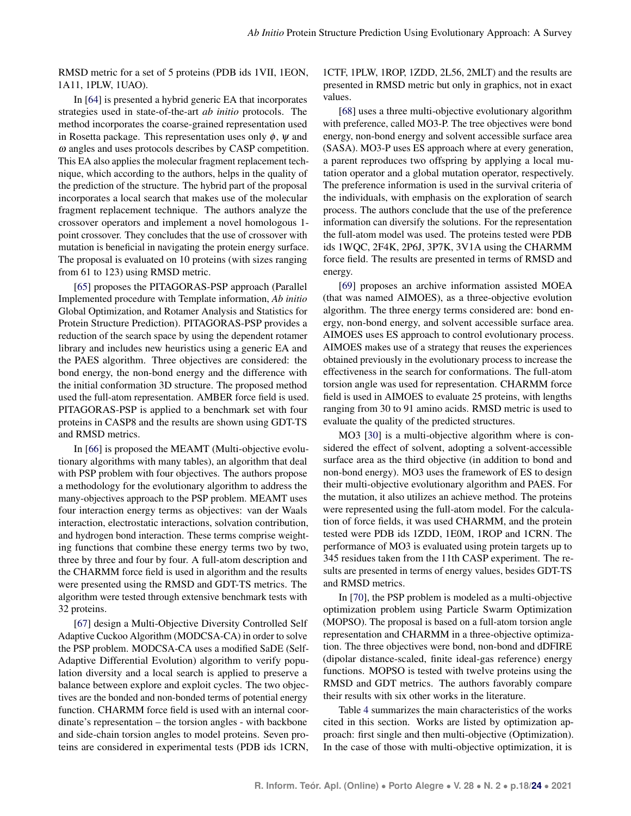RMSD metric for a set of 5 proteins (PDB ids 1VII, 1EON, 1A11, 1PLW, 1UAO).

In [\[64\]](#page-13-3) is presented a hybrid generic EA that incorporates strategies used in state-of-the-art *ab initio* protocols. The method incorporates the coarse-grained representation used in Rosetta package. This representation uses only  $\phi$ ,  $\psi$  and ω angles and uses protocols describes by CASP competition. This EA also applies the molecular fragment replacement technique, which according to the authors, helps in the quality of the prediction of the structure. The hybrid part of the proposal incorporates a local search that makes use of the molecular fragment replacement technique. The authors analyze the crossover operators and implement a novel homologous 1 point crossover. They concludes that the use of crossover with mutation is beneficial in navigating the protein energy surface. The proposal is evaluated on 10 proteins (with sizes ranging from 61 to 123) using RMSD metric.

[\[65\]](#page-13-4) proposes the PITAGORAS-PSP approach (Parallel Implemented procedure with Template information, *Ab initio* Global Optimization, and Rotamer Analysis and Statistics for Protein Structure Prediction). PITAGORAS-PSP provides a reduction of the search space by using the dependent rotamer library and includes new heuristics using a generic EA and the PAES algorithm. Three objectives are considered: the bond energy, the non-bond energy and the difference with the initial conformation 3D structure. The proposed method used the full-atom representation. AMBER force field is used. PITAGORAS-PSP is applied to a benchmark set with four proteins in CASP8 and the results are shown using GDT-TS and RMSD metrics.

In [\[66\]](#page-13-5) is proposed the MEAMT (Multi-objective evolutionary algorithms with many tables), an algorithm that deal with PSP problem with four objectives. The authors propose a methodology for the evolutionary algorithm to address the many-objectives approach to the PSP problem. MEAMT uses four interaction energy terms as objectives: van der Waals interaction, electrostatic interactions, solvation contribution, and hydrogen bond interaction. These terms comprise weighting functions that combine these energy terms two by two, three by three and four by four. A full-atom description and the CHARMM force field is used in algorithm and the results were presented using the RMSD and GDT-TS metrics. The algorithm were tested through extensive benchmark tests with 32 proteins.

[\[67\]](#page-13-6) design a Multi-Objective Diversity Controlled Self Adaptive Cuckoo Algorithm (MODCSA-CA) in order to solve the PSP problem. MODCSA-CA uses a modified SaDE (Self-Adaptive Differential Evolution) algorithm to verify population diversity and a local search is applied to preserve a balance between explore and exploit cycles. The two objectives are the bonded and non-bonded terms of potential energy function. CHARMM force field is used with an internal coordinate's representation – the torsion angles - with backbone and side-chain torsion angles to model proteins. Seven proteins are considered in experimental tests (PDB ids 1CRN, 1CTF, 1PLW, 1ROP, 1ZDD, 2L56, 2MLT) and the results are presented in RMSD metric but only in graphics, not in exact values.

[\[68\]](#page-13-7) uses a three multi-objective evolutionary algorithm with preference, called MO3-P. The tree objectives were bond energy, non-bond energy and solvent accessible surface area (SASA). MO3-P uses ES approach where at every generation, a parent reproduces two offspring by applying a local mutation operator and a global mutation operator, respectively. The preference information is used in the survival criteria of the individuals, with emphasis on the exploration of search process. The authors conclude that the use of the preference information can diversify the solutions. For the representation the full-atom model was used. The proteins tested were PDB ids 1WQC, 2F4K, 2P6J, 3P7K, 3V1A using the CHARMM force field. The results are presented in terms of RMSD and energy.

[\[69\]](#page-13-8) proposes an archive information assisted MOEA (that was named AIMOES), as a three-objective evolution algorithm. The three energy terms considered are: bond energy, non-bond energy, and solvent accessible surface area. AIMOES uses ES approach to control evolutionary process. AIMOES makes use of a strategy that reuses the experiences obtained previously in the evolutionary process to increase the effectiveness in the search for conformations. The full-atom torsion angle was used for representation. CHARMM force field is used in AIMOES to evaluate 25 proteins, with lengths ranging from 30 to 91 amino acids. RMSD metric is used to evaluate the quality of the predicted structures.

MO3 [\[30\]](#page-11-18) is a multi-objective algorithm where is considered the effect of solvent, adopting a solvent-accessible surface area as the third objective (in addition to bond and non-bond energy). MO3 uses the framework of ES to design their multi-objective evolutionary algorithm and PAES. For the mutation, it also utilizes an achieve method. The proteins were represented using the full-atom model. For the calculation of force fields, it was used CHARMM, and the protein tested were PDB ids 1ZDD, 1E0M, 1ROP and 1CRN. The performance of MO3 is evaluated using protein targets up to 345 residues taken from the 11th CASP experiment. The results are presented in terms of energy values, besides GDT-TS and RMSD metrics.

In [\[70\]](#page-13-9), the PSP problem is modeled as a multi-objective optimization problem using Particle Swarm Optimization (MOPSO). The proposal is based on a full-atom torsion angle representation and CHARMM in a three-objective optimization. The three objectives were bond, non-bond and dDFIRE (dipolar distance-scaled, finite ideal-gas reference) energy functions. MOPSO is tested with twelve proteins using the RMSD and GDT metrics. The authors favorably compare their results with six other works in the literature.

Table [4](#page-8-1) summarizes the main characteristics of the works cited in this section. Works are listed by optimization approach: first single and then multi-objective (Optimization). In the case of those with multi-objective optimization, it is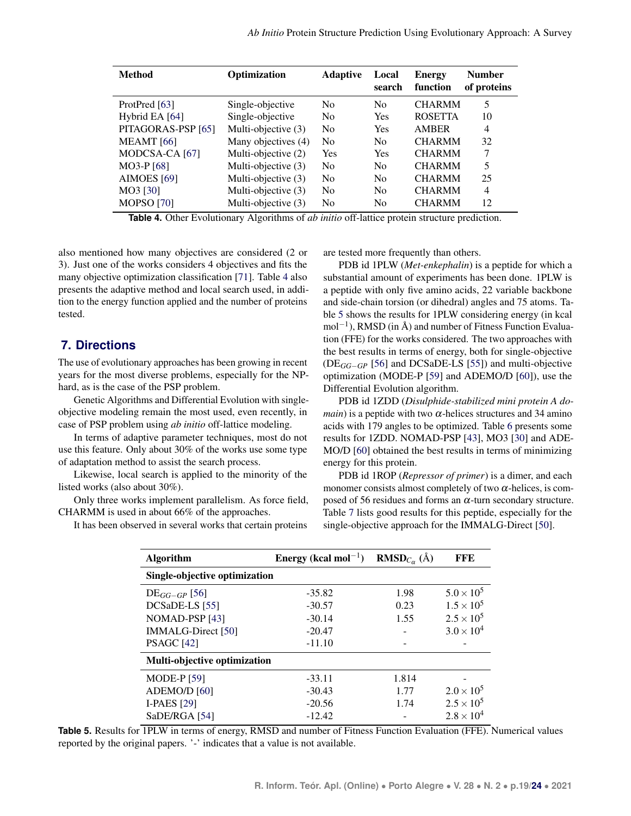<span id="page-8-1"></span>

| <b>Method</b>      | <b>Optimization</b> | <b>Adaptive</b> | Local<br>search | <b>Energy</b><br>function | <b>Number</b><br>of proteins |
|--------------------|---------------------|-----------------|-----------------|---------------------------|------------------------------|
| ProtPred [63]      | Single-objective    | N <sub>0</sub>  | N <sub>0</sub>  | <b>CHARMM</b>             | 5                            |
| Hybrid EA [64]     | Single-objective    | N <sub>0</sub>  | Yes             | <b>ROSETTA</b>            | 10                           |
| PITAGORAS-PSP [65] | Multi-objective (3) | N <sub>0</sub>  | Yes             | <b>AMBER</b>              | 4                            |
| <b>MEAMT</b> [66]  | Many objectives (4) | N <sub>0</sub>  | N <sub>0</sub>  | <b>CHARMM</b>             | 32                           |
| MODCSA-CA [67]     | Multi-objective (2) | Yes             | <b>Yes</b>      | <b>CHARMM</b>             | 7                            |
| $MO3-P [68]$       | Multi-objective (3) | N <sub>0</sub>  | N <sub>0</sub>  | <b>CHARMM</b>             | 5                            |
| <b>AIMOES</b> [69] | Multi-objective (3) | N <sub>0</sub>  | N <sub>0</sub>  | <b>CHARMM</b>             | 25                           |
| MO3 [30]           | Multi-objective (3) | N <sub>0</sub>  | N <sub>0</sub>  | <b>CHARMM</b>             | 4                            |
| <b>MOPSO</b> [70]  | Multi-objective (3) | N <sub>0</sub>  | N <sub>0</sub>  | <b>CHARMM</b>             | 12                           |

**Table 4.** Other Evolutionary Algorithms of *ab initio* off-lattice protein structure prediction.

also mentioned how many objectives are considered (2 or 3). Just one of the works considers 4 objectives and fits the many objective optimization classification [\[71\]](#page-13-10). Table [4](#page-8-1) also presents the adaptive method and local search used, in addition to the energy function applied and the number of proteins tested.

## <span id="page-8-0"></span>**7. Directions**

The use of evolutionary approaches has been growing in recent years for the most diverse problems, especially for the NPhard, as is the case of the PSP problem.

Genetic Algorithms and Differential Evolution with singleobjective modeling remain the most used, even recently, in case of PSP problem using *ab initio* off-lattice modeling.

In terms of adaptive parameter techniques, most do not use this feature. Only about 30% of the works use some type of adaptation method to assist the search process.

Likewise, local search is applied to the minority of the listed works (also about 30%).

Only three works implement parallelism. As force field, CHARMM is used in about 66% of the approaches.

<span id="page-8-2"></span>It has been observed in several works that certain proteins

are tested more frequently than others.

PDB id 1PLW (*Met-enkephalin*) is a peptide for which a substantial amount of experiments has been done. 1PLW is a peptide with only five amino acids, 22 variable backbone and side-chain torsion (or dihedral) angles and 75 atoms. Table [5](#page-8-2) shows the results for 1PLW considering energy (in kcal mol<sup>-1</sup>), RMSD (in Å) and number of Fitness Function Evaluation (FFE) for the works considered. The two approaches with the best results in terms of energy, both for single-objective (DE*GG*−*GP* [\[56\]](#page-12-16) and DCSaDE-LS [\[55\]](#page-12-15)) and multi-objective optimization (MODE-P [\[59\]](#page-12-19) and ADEMO/D [\[60\]](#page-12-20)), use the Differential Evolution algorithm.

PDB id 1ZDD (*Disulphide-stabilized mini protein A do* $main$ ) is a peptide with two  $\alpha$ -helices structures and 34 amino acids with 179 angles to be optimized. Table [6](#page-9-1) presents some results for 1ZDD. NOMAD-PSP [\[43\]](#page-12-4), MO3 [\[30\]](#page-11-18) and ADE-MO/D [\[60\]](#page-12-20) obtained the best results in terms of minimizing energy for this protein.

PDB id 1ROP (*Repressor of primer*) is a dimer, and each monomer consists almost completely of two  $\alpha$ -helices, is composed of 56 residues and forms an  $\alpha$ -turn secondary structure. Table [7](#page-9-2) lists good results for this peptide, especially for the single-objective approach for the IMMALG-Direct [\[50\]](#page-12-10).

| <b>Algorithm</b>                    | <b>Energy</b> (kcal mol <sup>-1</sup> ) <b>RMSD</b> <sub>C<sub><i>c</i></sub></sub> (Å) |       | FFE                 |
|-------------------------------------|-----------------------------------------------------------------------------------------|-------|---------------------|
| Single-objective optimization       |                                                                                         |       |                     |
| $DE_{GG-GP}$ [56]                   | $-35.82$                                                                                | 1.98  | $5.0 \times 10^{5}$ |
| DCSaDE-LS [55]                      | $-30.57$                                                                                | 0.23  | $1.5 \times 10^{5}$ |
| NOMAD-PSP [43]                      | $-30.14$                                                                                | 1.55  | $2.5 \times 10^{5}$ |
| IMMALG-Direct [50]                  | $-20.47$                                                                                |       | $3.0 \times 10^{4}$ |
| <b>PSAGC</b> [42]                   | $-11.10$                                                                                |       |                     |
| <b>Multi-objective optimization</b> |                                                                                         |       |                     |
| MODE-P $[59]$                       | $-33.11$                                                                                | 1.814 |                     |
| ADEMO/D [60]                        | $-30.43$                                                                                | 1.77  | $2.0 \times 10^{5}$ |
| <b>I-PAES</b> [29]                  | $-20.56$                                                                                | 1.74  | $2.5 \times 10^{5}$ |
| SaDE/RGA [54]                       | $-12.42$                                                                                |       | $2.8 \times 10^{4}$ |

**Table 5.** Results for 1PLW in terms of energy, RMSD and number of Fitness Function Evaluation (FFE). Numerical values reported by the original papers. '-' indicates that a value is not available.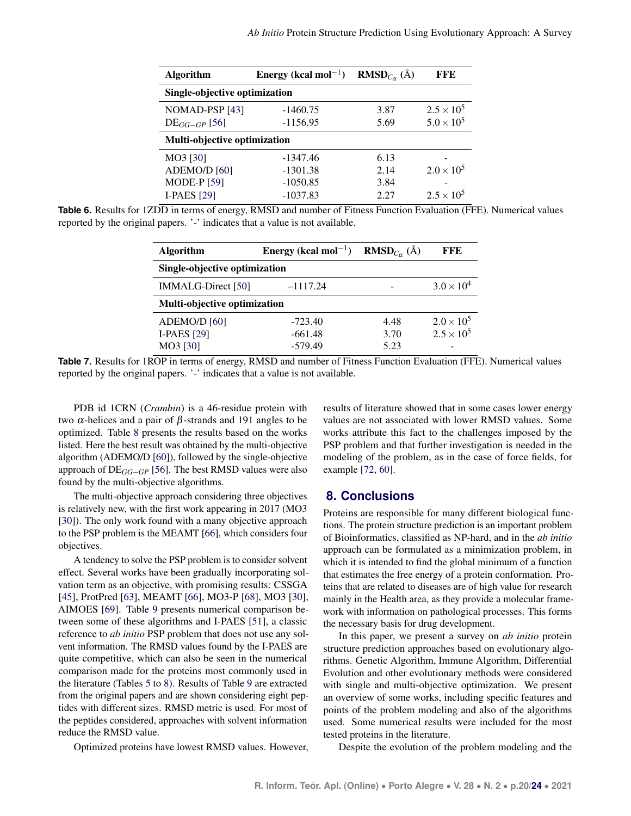<span id="page-9-1"></span>

| <b>Algorithm</b>              | Energy (kcal mol <sup>-1</sup> ) | <b>RMSD</b> <sub>C<sub>α</sub></sub> (Å) | FFE                 |  |  |
|-------------------------------|----------------------------------|------------------------------------------|---------------------|--|--|
| Single-objective optimization |                                  |                                          |                     |  |  |
| NOMAD-PSP [43]                | $-1460.75$                       | 3.87                                     | $2.5 \times 10^{5}$ |  |  |
| $DE_{GG-GP}$ [56]             | $-1156.95$                       | 5.69                                     | $5.0 \times 10^{5}$ |  |  |
| Multi-objective optimization  |                                  |                                          |                     |  |  |
| MO3 [30]                      | $-1347.46$                       | 6.13                                     |                     |  |  |
| ADEMO/D [60]                  | $-1301.38$                       | 2.14                                     | $2.0 \times 10^{5}$ |  |  |
| <b>MODE-P</b> [59]            | $-1050.85$                       | 3.84                                     |                     |  |  |
| <b>I-PAES</b> [29]            | $-1037.83$                       | 2.27                                     | $2.5 \times 10^{5}$ |  |  |

<span id="page-9-2"></span>**Table 6.** Results for 1ZDD in terms of energy, RMSD and number of Fitness Function Evaluation (FFE). Numerical values reported by the original papers. '-' indicates that a value is not available.

| <b>Algorithm</b>              | <b>Energy</b> (kcal mol <sup>-1</sup> ) <b>RMSD</b> <sub>C<sub><i>c</i></sub></sub> (Å) |      | FFE                 |  |  |
|-------------------------------|-----------------------------------------------------------------------------------------|------|---------------------|--|--|
| Single-objective optimization |                                                                                         |      |                     |  |  |
| <b>IMMALG-Direct</b> [50]     | $-1117.24$                                                                              |      | $3.0 \times 10^{4}$ |  |  |
| Multi-objective optimization  |                                                                                         |      |                     |  |  |
| ADEMO/D [60]                  | $-723.40$                                                                               | 4.48 | $2.0 \times 10^{5}$ |  |  |
| <b>I-PAES</b> [29]            | $-661.48$                                                                               | 3.70 | $2.5 \times 10^{5}$ |  |  |
| MO3 [30]                      | $-579.49$                                                                               | 5.23 |                     |  |  |

**Table 7.** Results for 1ROP in terms of energy, RMSD and number of Fitness Function Evaluation (FFE). Numerical values reported by the original papers. '-' indicates that a value is not available.

PDB id 1CRN (*Crambin*) is a 46-residue protein with two α-helices and a pair of β-strands and 191 angles to be optimized. Table [8](#page-10-11) presents the results based on the works listed. Here the best result was obtained by the multi-objective algorithm (ADEMO/D [\[60\]](#page-12-20)), followed by the single-objective approach of DE*GG*−*GP* [\[56\]](#page-12-16). The best RMSD values were also found by the multi-objective algorithms.

The multi-objective approach considering three objectives is relatively new, with the first work appearing in 2017 (MO3 [\[30\]](#page-11-18)). The only work found with a many objective approach to the PSP problem is the MEAMT [\[66\]](#page-13-5), which considers four objectives.

A tendency to solve the PSP problem is to consider solvent effect. Several works have been gradually incorporating solvation term as an objective, with promising results: CSSGA [\[45\]](#page-12-5), ProtPred [\[63\]](#page-13-2), MEAMT [\[66\]](#page-13-5), MO3-P [\[68\]](#page-13-7), MO3 [\[30\]](#page-11-18), AIMOES [\[69\]](#page-13-8). Table [9](#page-10-12) presents numerical comparison between some of these algorithms and I-PAES [\[51\]](#page-12-11), a classic reference to *ab initio* PSP problem that does not use any solvent information. The RMSD values found by the I-PAES are quite competitive, which can also be seen in the numerical comparison made for the proteins most commonly used in the literature (Tables [5](#page-8-2) to [8\)](#page-10-11). Results of Table [9](#page-10-12) are extracted from the original papers and are shown considering eight peptides with different sizes. RMSD metric is used. For most of the peptides considered, approaches with solvent information reduce the RMSD value.

Optimized proteins have lowest RMSD values. However,

results of literature showed that in some cases lower energy values are not associated with lower RMSD values. Some works attribute this fact to the challenges imposed by the PSP problem and that further investigation is needed in the modeling of the problem, as in the case of force fields, for example [\[72,](#page-13-11) [60\]](#page-12-20).

#### <span id="page-9-0"></span>**8. Conclusions**

Proteins are responsible for many different biological functions. The protein structure prediction is an important problem of Bioinformatics, classified as NP-hard, and in the *ab initio* approach can be formulated as a minimization problem, in which it is intended to find the global minimum of a function that estimates the free energy of a protein conformation. Proteins that are related to diseases are of high value for research mainly in the Health area, as they provide a molecular framework with information on pathological processes. This forms the necessary basis for drug development.

In this paper, we present a survey on *ab initio* protein structure prediction approaches based on evolutionary algorithms. Genetic Algorithm, Immune Algorithm, Differential Evolution and other evolutionary methods were considered with single and multi-objective optimization. We present an overview of some works, including specific features and points of the problem modeling and also of the algorithms used. Some numerical results were included for the most tested proteins in the literature.

Despite the evolution of the problem modeling and the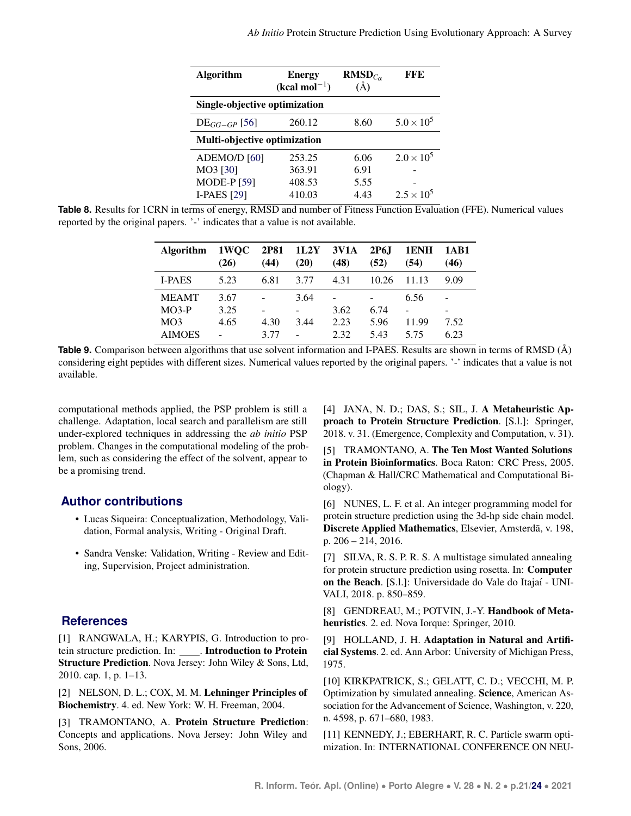<span id="page-10-11"></span>

| <b>Algorithm</b>              | <b>Energy</b><br>$(kcal mol-1)$ | RMSD <sub>C</sub><br>$\rm(\AA)$ | FFE                 |
|-------------------------------|---------------------------------|---------------------------------|---------------------|
| Single-objective optimization |                                 |                                 |                     |
| $DE_{GG-GP}$ [56]             | 260.12                          | 8.60                            | $5.0 \times 10^{5}$ |
| Multi-objective optimization  |                                 |                                 |                     |
| ADEMO/D [60]                  | 253.25                          | 6.06                            | $2.0 \times 10^{5}$ |
| MO3 [30]                      | 363.91                          | 6.91                            |                     |
| <b>MODE-P</b> [59]            | 408.53                          | 5.55                            |                     |
| <b>I-PAES</b> [29]            | 410.03                          | 4.43                            | $2.5 \times 10^{5}$ |

<span id="page-10-12"></span>**Table 8.** Results for 1CRN in terms of energy, RMSD and number of Fitness Function Evaluation (FFE). Numerical values reported by the original papers. '-' indicates that a value is not available.

| <b>Algorithm</b> | 1WQC<br>(26) | 2P81<br>(44) | 1L2Y<br>(20) | <b>3V1A</b><br>(48) | 2P6J<br>(52) | 1ENH<br>(54) | 1AB1<br>(46) |
|------------------|--------------|--------------|--------------|---------------------|--------------|--------------|--------------|
| <b>I-PAES</b>    | 5.23         | 6.81         | 3.77         | 4.31                | 10.26        | 11.13        | 9.09         |
| <b>MEAMT</b>     | 3.67         |              | 3.64         |                     | -            | 6.56         |              |
| $MO3-P$          | 3.25         |              | -            | 3.62                | 6.74         | ۰            |              |
| MO3              | 4.65         | 4.30         | 3.44         | 2.23                | 5.96         | 11.99        | 7.52         |
| <b>AIMOES</b>    |              | 3.77         |              | 2.32                | 5.43         | 575          | 6.23         |

**Table 9.** Comparison between algorithms that use solvent information and I-PAES. Results are shown in terms of RMSD (Å) considering eight peptides with different sizes. Numerical values reported by the original papers. '-' indicates that a value is not available.

computational methods applied, the PSP problem is still a challenge. Adaptation, local search and parallelism are still under-explored techniques in addressing the *ab initio* PSP problem. Changes in the computational modeling of the problem, such as considering the effect of the solvent, appear to be a promising trend.

# **Author contributions**

- Lucas Siqueira: Conceptualization, Methodology, Validation, Formal analysis, Writing - Original Draft.
- Sandra Venske: Validation, Writing Review and Editing, Supervision, Project administration.

# **References**

<span id="page-10-0"></span>[1] RANGWALA, H.; KARYPIS, G. Introduction to protein structure prediction. In: . . Introduction to Protein Structure Prediction. Nova Jersey: John Wiley & Sons, Ltd, 2010. cap. 1, p. 1–13.

<span id="page-10-1"></span>[2] NELSON, D. L.; COX, M. M. Lehninger Principles of Biochemistry. 4. ed. New York: W. H. Freeman, 2004.

<span id="page-10-2"></span>[3] TRAMONTANO, A. Protein Structure Prediction: Concepts and applications. Nova Jersey: John Wiley and Sons, 2006.

<span id="page-10-3"></span>[4] JANA, N. D.; DAS, S.; SIL, J. A Metaheuristic Approach to Protein Structure Prediction. [S.l.]: Springer, 2018. v. 31. (Emergence, Complexity and Computation, v. 31).

<span id="page-10-4"></span>[5] TRAMONTANO, A. The Ten Most Wanted Solutions in Protein Bioinformatics. Boca Raton: CRC Press, 2005. (Chapman & Hall/CRC Mathematical and Computational Biology).

<span id="page-10-5"></span>[6] NUNES, L. F. et al. An integer programming model for protein structure prediction using the 3d-hp side chain model. Discrete Applied Mathematics, Elsevier, Amsterdã, v. 198, p. 206 – 214, 2016.

<span id="page-10-6"></span>[7] SILVA, R. S. P. R. S. A multistage simulated annealing for protein structure prediction using rosetta. In: Computer on the Beach. [S.l.]: Universidade do Vale do Itajaí - UNI-VALI, 2018. p. 850–859.

<span id="page-10-7"></span>[8] GENDREAU, M.; POTVIN, J.-Y. Handbook of Metaheuristics. 2. ed. Nova Iorque: Springer, 2010.

<span id="page-10-8"></span>[9] HOLLAND, J. H. Adaptation in Natural and Artificial Systems. 2. ed. Ann Arbor: University of Michigan Press, 1975.

<span id="page-10-9"></span>[10] KIRKPATRICK, S.; GELATT, C. D.; VECCHI, M. P. Optimization by simulated annealing. Science, American Association for the Advancement of Science, Washington, v. 220, n. 4598, p. 671–680, 1983.

<span id="page-10-10"></span>[11] KENNEDY, J.; EBERHART, R. C. Particle swarm optimization. In: INTERNATIONAL CONFERENCE ON NEU-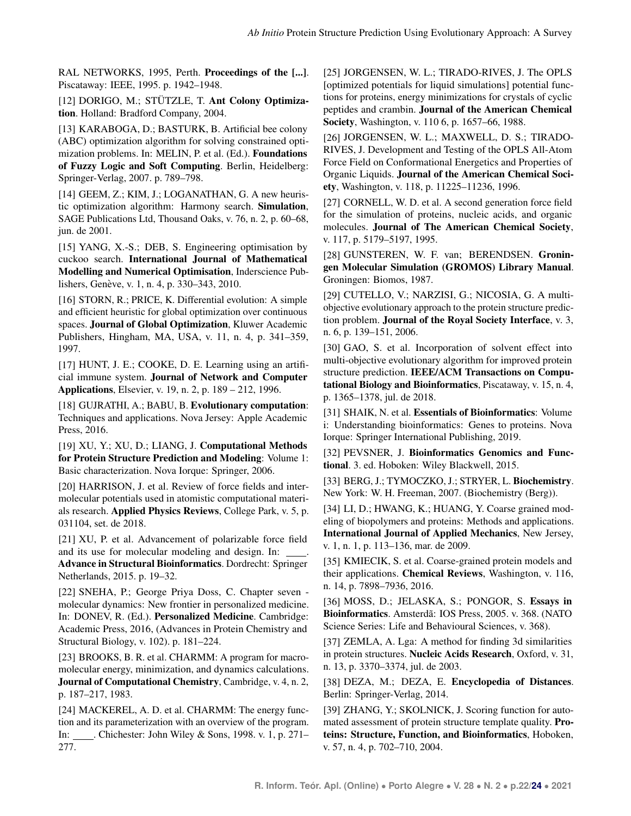RAL NETWORKS, 1995, Perth. Proceedings of the [...]. Piscataway: IEEE, 1995. p. 1942–1948.

<span id="page-11-0"></span>[12] DORIGO, M.; STÜTZLE, T. Ant Colony Optimization. Holland: Bradford Company, 2004.

<span id="page-11-1"></span>[13] KARABOGA, D.; BASTURK, B. Artificial bee colony (ABC) optimization algorithm for solving constrained optimization problems. In: MELIN, P. et al. (Ed.). Foundations of Fuzzy Logic and Soft Computing. Berlin, Heidelberg: Springer-Verlag, 2007. p. 789–798.

<span id="page-11-2"></span>[14] GEEM, Z.; KIM, J.; LOGANATHAN, G. A new heuristic optimization algorithm: Harmony search. Simulation, SAGE Publications Ltd, Thousand Oaks, v. 76, n. 2, p. 60–68, jun. de 2001.

<span id="page-11-3"></span>[15] YANG, X.-S.; DEB, S. Engineering optimisation by cuckoo search. International Journal of Mathematical Modelling and Numerical Optimisation, Inderscience Publishers, Genève, v. 1, n. 4, p. 330–343, 2010.

<span id="page-11-4"></span>[16] STORN, R.; PRICE, K. Differential evolution: A simple and efficient heuristic for global optimization over continuous spaces. Journal of Global Optimization, Kluwer Academic Publishers, Hingham, MA, USA, v. 11, n. 4, p. 341–359, 1997.

<span id="page-11-5"></span>[17] HUNT, J. E.; COOKE, D. E. Learning using an artificial immune system. Journal of Network and Computer Applications, Elsevier, v. 19, n. 2, p. 189 – 212, 1996.

<span id="page-11-6"></span>[18] GUJRATHI, A.; BABU, B. Evolutionary computation: Techniques and applications. Nova Jersey: Apple Academic Press, 2016.

<span id="page-11-7"></span>[19] XU, Y.; XU, D.; LIANG, J. Computational Methods for Protein Structure Prediction and Modeling: Volume 1: Basic characterization. Nova Iorque: Springer, 2006.

<span id="page-11-8"></span>[20] HARRISON, J. et al. Review of force fields and intermolecular potentials used in atomistic computational materials research. Applied Physics Reviews, College Park, v. 5, p. 031104, set. de 2018.

<span id="page-11-9"></span>[21] XU, P. et al. Advancement of polarizable force field and its use for molecular modeling and design. In: Advance in Structural Bioinformatics. Dordrecht: Springer Netherlands, 2015. p. 19–32.

<span id="page-11-10"></span>[22] SNEHA, P.; George Priya Doss, C. Chapter seven molecular dynamics: New frontier in personalized medicine. In: DONEV, R. (Ed.). Personalized Medicine. Cambridge: Academic Press, 2016, (Advances in Protein Chemistry and Structural Biology, v. 102). p. 181–224.

<span id="page-11-11"></span>[23] BROOKS, B. R. et al. CHARMM: A program for macromolecular energy, minimization, and dynamics calculations. Journal of Computational Chemistry, Cambridge, v. 4, n. 2, p. 187–217, 1983.

<span id="page-11-12"></span>[24] MACKEREL, A. D. et al. CHARMM: The energy function and its parameterization with an overview of the program. In: . Chichester: John Wiley & Sons, 1998. v. 1, p. 271– 277.

<span id="page-11-13"></span>[25] JORGENSEN, W. L.; TIRADO-RIVES, J. The OPLS [optimized potentials for liquid simulations] potential functions for proteins, energy minimizations for crystals of cyclic peptides and crambin. Journal of the American Chemical Society, Washington, v. 110 6, p. 1657–66, 1988.

<span id="page-11-14"></span>[26] JORGENSEN, W. L.; MAXWELL, D. S.; TIRADO-RIVES, J. Development and Testing of the OPLS All-Atom Force Field on Conformational Energetics and Properties of Organic Liquids. Journal of the American Chemical Society, Washington, v. 118, p. 11225–11236, 1996.

<span id="page-11-15"></span>[27] CORNELL, W. D. et al. A second generation force field for the simulation of proteins, nucleic acids, and organic molecules. Journal of The American Chemical Society, v. 117, p. 5179–5197, 1995.

<span id="page-11-16"></span>[28] GUNSTEREN, W. F. van; BERENDSEN. Groningen Molecular Simulation (GROMOS) Library Manual. Groningen: Biomos, 1987.

<span id="page-11-17"></span>[29] CUTELLO, V.; NARZISI, G.; NICOSIA, G. A multiobjective evolutionary approach to the protein structure prediction problem. Journal of the Royal Society Interface, v. 3, n. 6, p. 139–151, 2006.

<span id="page-11-18"></span>[30] GAO, S. et al. Incorporation of solvent effect into multi-objective evolutionary algorithm for improved protein structure prediction. IEEE/ACM Transactions on Computational Biology and Bioinformatics, Piscataway, v. 15, n. 4, p. 1365–1378, jul. de 2018.

<span id="page-11-19"></span>[31] SHAIK, N. et al. Essentials of Bioinformatics: Volume i: Understanding bioinformatics: Genes to proteins. Nova Iorque: Springer International Publishing, 2019.

<span id="page-11-20"></span>[32] PEVSNER, J. Bioinformatics Genomics and Functional. 3. ed. Hoboken: Wiley Blackwell, 2015.

<span id="page-11-21"></span>[33] BERG, J.; TYMOCZKO, J.; STRYER, L. Biochemistry. New York: W. H. Freeman, 2007. (Biochemistry (Berg)).

<span id="page-11-22"></span>[34] LI, D.; HWANG, K.; HUANG, Y. Coarse grained modeling of biopolymers and proteins: Methods and applications. International Journal of Applied Mechanics, New Jersey, v. 1, n. 1, p. 113–136, mar. de 2009.

<span id="page-11-23"></span>[35] KMIECIK, S. et al. Coarse-grained protein models and their applications. Chemical Reviews, Washington, v. 116, n. 14, p. 7898–7936, 2016.

<span id="page-11-24"></span>[36] MOSS, D.; JELASKA, S.; PONGOR, S. Essays in Bioinformatics. Amsterdã: IOS Press, 2005. v. 368. (NATO Science Series: Life and Behavioural Sciences, v. 368).

<span id="page-11-25"></span>[37] ZEMLA, A. Lga: A method for finding 3d similarities in protein structures. Nucleic Acids Research, Oxford, v. 31, n. 13, p. 3370–3374, jul. de 2003.

<span id="page-11-26"></span>[38] DEZA, M.; DEZA, E. Encyclopedia of Distances. Berlin: Springer-Verlag, 2014.

<span id="page-11-27"></span>[39] ZHANG, Y.; SKOLNICK, J. Scoring function for automated assessment of protein structure template quality. Proteins: Structure, Function, and Bioinformatics, Hoboken, v. 57, n. 4, p. 702–710, 2004.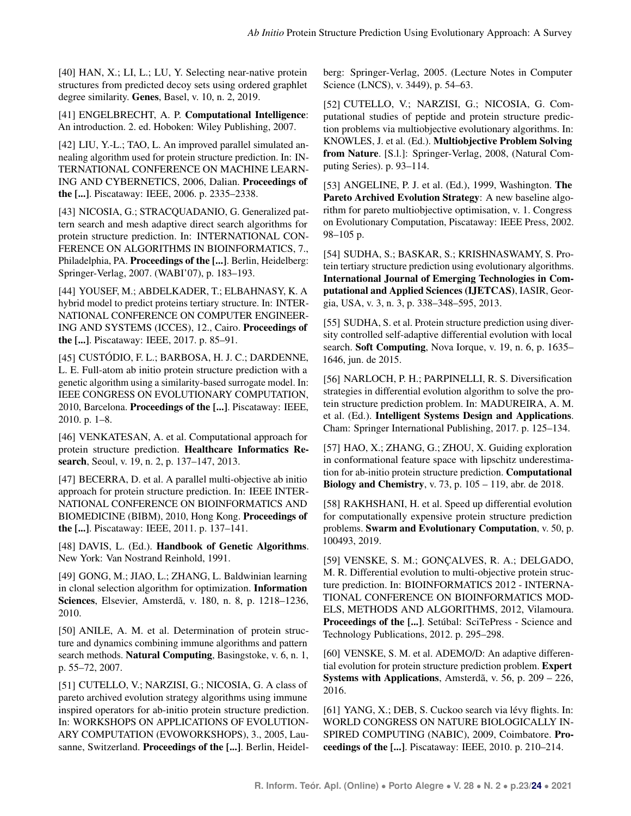<span id="page-12-0"></span>[40] HAN, X.; LI, L.; LU, Y. Selecting near-native protein structures from predicted decoy sets using ordered graphlet degree similarity. Genes, Basel, v. 10, n. 2, 2019.

<span id="page-12-1"></span>[41] ENGELBRECHT, A. P. Computational Intelligence: An introduction. 2. ed. Hoboken: Wiley Publishing, 2007.

<span id="page-12-3"></span>[42] LIU, Y.-L.; TAO, L. An improved parallel simulated annealing algorithm used for protein structure prediction. In: IN-TERNATIONAL CONFERENCE ON MACHINE LEARN-ING AND CYBERNETICS, 2006, Dalian. Proceedings of the [...]. Piscataway: IEEE, 2006. p. 2335–2338.

<span id="page-12-4"></span>[43] NICOSIA, G.; STRACOUADANIO, G. Generalized pattern search and mesh adaptive direct search algorithms for protein structure prediction. In: INTERNATIONAL CON-FERENCE ON ALGORITHMS IN BIOINFORMATICS, 7., Philadelphia, PA. Proceedings of the [...]. Berlin, Heidelberg: Springer-Verlag, 2007. (WABI'07), p. 183–193.

<span id="page-12-2"></span>[44] YOUSEF, M.; ABDELKADER, T.; ELBAHNASY, K. A hybrid model to predict proteins tertiary structure. In: INTER-NATIONAL CONFERENCE ON COMPUTER ENGINEER-ING AND SYSTEMS (ICCES), 12., Cairo. Proceedings of the [...]. Piscataway: IEEE, 2017. p. 85–91.

<span id="page-12-5"></span>[45] CUSTÓDIO, F. L.; BARBOSA, H. J. C.; DARDENNE, L. E. Full-atom ab initio protein structure prediction with a genetic algorithm using a similarity-based surrogate model. In: IEEE CONGRESS ON EVOLUTIONARY COMPUTATION, 2010, Barcelona. Proceedings of the [...]. Piscataway: IEEE, 2010. p. 1–8.

<span id="page-12-6"></span>[46] VENKATESAN, A. et al. Computational approach for protein structure prediction. Healthcare Informatics Research, Seoul, v. 19, n. 2, p. 137–147, 2013.

<span id="page-12-7"></span>[47] BECERRA, D. et al. A parallel multi-objective ab initio approach for protein structure prediction. In: IEEE INTER-NATIONAL CONFERENCE ON BIOINFORMATICS AND BIOMEDICINE (BIBM), 2010, Hong Kong. Proceedings of the [...]. Piscataway: IEEE, 2011. p. 137–141.

<span id="page-12-8"></span>[48] DAVIS, L. (Ed.). **Handbook of Genetic Algorithms.** New York: Van Nostrand Reinhold, 1991.

<span id="page-12-9"></span>[49] GONG, M.; JIAO, L.; ZHANG, L. Baldwinian learning in clonal selection algorithm for optimization. Information Sciences, Elsevier, Amsterdã, v. 180, n. 8, p. 1218–1236, 2010.

<span id="page-12-10"></span>[50] ANILE, A. M. et al. Determination of protein structure and dynamics combining immune algorithms and pattern search methods. Natural Computing, Basingstoke, v. 6, n. 1, p. 55–72, 2007.

<span id="page-12-11"></span>[51] CUTELLO, V.; NARZISI, G.; NICOSIA, G. A class of pareto archived evolution strategy algorithms using immune inspired operators for ab-initio protein structure prediction. In: WORKSHOPS ON APPLICATIONS OF EVOLUTION-ARY COMPUTATION (EVOWORKSHOPS), 3., 2005, Lausanne, Switzerland. Proceedings of the [...]. Berlin, Heidelberg: Springer-Verlag, 2005. (Lecture Notes in Computer Science (LNCS), v. 3449), p. 54–63.

<span id="page-12-12"></span>[52] CUTELLO, V.; NARZISI, G.; NICOSIA, G. Computational studies of peptide and protein structure prediction problems via multiobjective evolutionary algorithms. In: KNOWLES, J. et al. (Ed.). Multiobjective Problem Solving from Nature. [S.l.]: Springer-Verlag, 2008, (Natural Computing Series). p. 93–114.

<span id="page-12-13"></span>[53] ANGELINE, P. J. et al. (Ed.), 1999, Washington. The Pareto Archived Evolution Strategy: A new baseline algorithm for pareto multiobjective optimisation, v. 1. Congress on Evolutionary Computation, Piscataway: IEEE Press, 2002. 98–105 p.

<span id="page-12-14"></span>[54] SUDHA, S.; BASKAR, S.; KRISHNASWAMY, S. Protein tertiary structure prediction using evolutionary algorithms. International Journal of Emerging Technologies in Computational and Applied Sciences (IJETCAS), IASIR, Georgia, USA, v. 3, n. 3, p. 338–348–595, 2013.

<span id="page-12-15"></span>[55] SUDHA, S. et al. Protein structure prediction using diversity controlled self-adaptive differential evolution with local search. **Soft Computing**, Nova Iorque, v. 19, n. 6, p. 1635– 1646, jun. de 2015.

<span id="page-12-16"></span>[56] NARLOCH, P. H.; PARPINELLI, R. S. Diversification strategies in differential evolution algorithm to solve the protein structure prediction problem. In: MADUREIRA, A. M. et al. (Ed.). Intelligent Systems Design and Applications. Cham: Springer International Publishing, 2017. p. 125–134.

<span id="page-12-17"></span>[57] HAO, X.; ZHANG, G.; ZHOU, X. Guiding exploration in conformational feature space with lipschitz underestimation for ab-initio protein structure prediction. Computational Biology and Chemistry, v. 73, p. 105 – 119, abr. de 2018.

<span id="page-12-18"></span>[58] RAKHSHANI, H. et al. Speed up differential evolution for computationally expensive protein structure prediction problems. Swarm and Evolutionary Computation, v. 50, p. 100493, 2019.

<span id="page-12-19"></span>[59] VENSKE, S. M.; GONÇALVES, R. A.; DELGADO, M. R. Differential evolution to multi-objective protein structure prediction. In: BIOINFORMATICS 2012 - INTERNA-TIONAL CONFERENCE ON BIOINFORMATICS MOD-ELS, METHODS AND ALGORITHMS, 2012, Vilamoura. Proceedings of the [...]. Setúbal: SciTePress - Science and Technology Publications, 2012. p. 295–298.

<span id="page-12-20"></span>[60] VENSKE, S. M. et al. ADEMO/D: An adaptive differential evolution for protein structure prediction problem. Expert Systems with Applications, Amsterdã, v. 56, p.  $209 - 226$ , 2016.

<span id="page-12-21"></span>[61] YANG, X.; DEB, S. Cuckoo search via lévy flights. In: WORLD CONGRESS ON NATURE BIOLOGICALLY IN-SPIRED COMPUTING (NABIC), 2009, Coimbatore. Proceedings of the [...]. Piscataway: IEEE, 2010. p. 210–214.